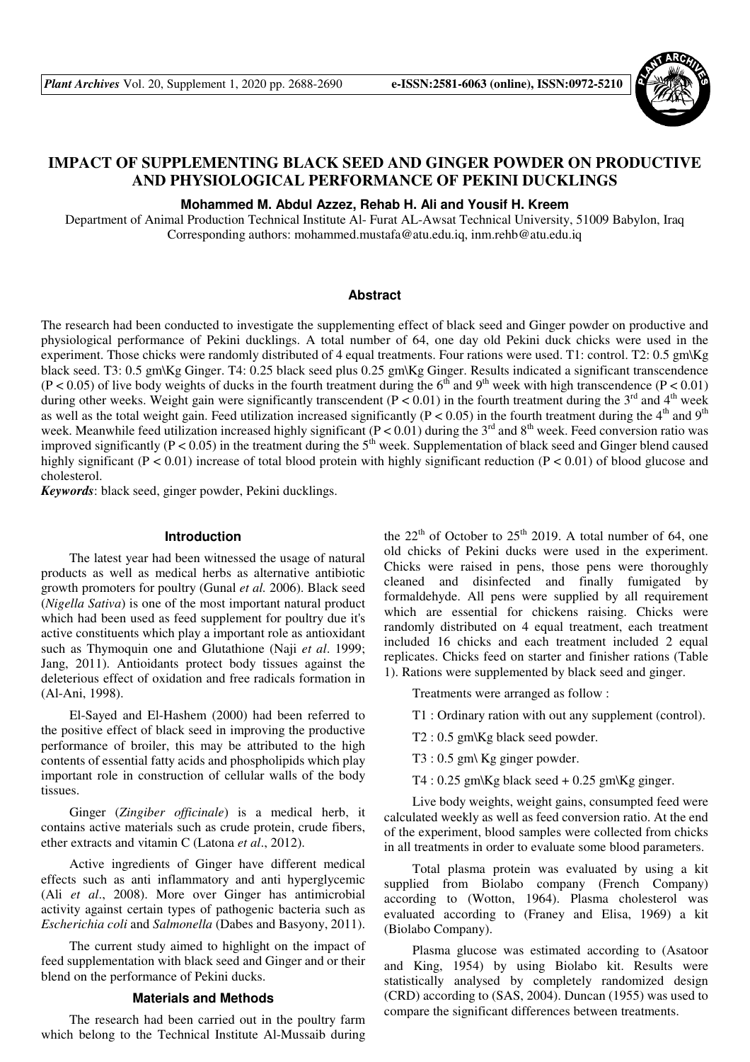

# **IMPACT OF SUPPLEMENTING BLACK SEED AND GINGER POWDER ON PRODUCTIVE AND PHYSIOLOGICAL PERFORMANCE OF PEKINI DUCKLINGS**

## **Mohammed M. Abdul Azzez, Rehab H. Ali and Yousif H. Kreem**

Department of Animal Production Technical Institute Al- Furat AL-Awsat Technical University, 51009 Babylon, Iraq Corresponding authors: mohammed.mustafa@atu.edu.iq, inm.rehb@atu.edu.iq

## **Abstract**

The research had been conducted to investigate the supplementing effect of black seed and Ginger powder on productive and physiological performance of Pekini ducklings. A total number of 64, one day old Pekini duck chicks were used in the experiment. Those chicks were randomly distributed of 4 equal treatments. Four rations were used. T1: control. T2: 0.5 gm\Kg black seed. T3: 0.5 gm\Kg Ginger. T4: 0.25 black seed plus 0.25 gm\Kg Ginger. Results indicated a significant transcendence  $(P < 0.05)$  of live body weights of ducks in the fourth treatment during the 6<sup>th</sup> and 9<sup>th</sup> week with high transcendence  $(P < 0.01)$ during other weeks. Weight gain were significantly transcendent ( $P < 0.01$ ) in the fourth treatment during the 3<sup>rd</sup> and 4<sup>th</sup> week as well as the total weight gain. Feed utilization increased significantly ( $P < 0.05$ ) in the fourth treatment during the  $4<sup>th</sup>$  and  $9<sup>th</sup>$ week. Meanwhile feed utilization increased highly significant ( $P < 0.01$ ) during the 3<sup>rd</sup> and 8<sup>th</sup> week. Feed conversion ratio was improved significantly ( $P < 0.05$ ) in the treatment during the  $5<sup>th</sup>$  week. Supplementation of black seed and Ginger blend caused highly significant ( $P < 0.01$ ) increase of total blood protein with highly significant reduction ( $P < 0.01$ ) of blood glucose and cholesterol.

*Keywords*: black seed, ginger powder, Pekini ducklings.

### **Introduction**

The latest year had been witnessed the usage of natural products as well as medical herbs as alternative antibiotic growth promoters for poultry (Gunal *et al.* 2006). Black seed (*Nigella Sativa*) is one of the most important natural product which had been used as feed supplement for poultry due it's active constituents which play a important role as antioxidant such as Thymoquin one and Glutathione (Naji *et al*. 1999; Jang, 2011). Antioidants protect body tissues against the deleterious effect of oxidation and free radicals formation in (Al-Ani, 1998).

El-Sayed and El-Hashem (2000) had been referred to the positive effect of black seed in improving the productive performance of broiler, this may be attributed to the high contents of essential fatty acids and phospholipids which play important role in construction of cellular walls of the body tissues.

Ginger (*Zingiber officinale*) is a medical herb, it contains active materials such as crude protein, crude fibers, ether extracts and vitamin C (Latona *et al*., 2012).

Active ingredients of Ginger have different medical effects such as anti inflammatory and anti hyperglycemic (Ali *et al*., 2008). More over Ginger has antimicrobial activity against certain types of pathogenic bacteria such as *Escherichia coli* and *Salmonella* (Dabes and Basyony, 2011).

The current study aimed to highlight on the impact of feed supplementation with black seed and Ginger and or their blend on the performance of Pekini ducks.

## **Materials and Methods**

The research had been carried out in the poultry farm which belong to the Technical Institute Al-Mussaib during

the  $22<sup>th</sup>$  of October to  $25<sup>th</sup>$  2019. A total number of 64, one old chicks of Pekini ducks were used in the experiment. Chicks were raised in pens, those pens were thoroughly cleaned and disinfected and finally fumigated by formaldehyde. All pens were supplied by all requirement which are essential for chickens raising. Chicks were randomly distributed on 4 equal treatment, each treatment included 16 chicks and each treatment included 2 equal replicates. Chicks feed on starter and finisher rations (Table 1). Rations were supplemented by black seed and ginger.

Treatments were arranged as follow :

T1 : Ordinary ration with out any supplement (control).

T2 : 0.5 gm\Kg black seed powder.

T3 : 0.5 gm\ Kg ginger powder.

T4 :  $0.25$  gm\Kg black seed  $+ 0.25$  gm\Kg ginger.

Live body weights, weight gains, consumpted feed were calculated weekly as well as feed conversion ratio. At the end of the experiment, blood samples were collected from chicks in all treatments in order to evaluate some blood parameters.

Total plasma protein was evaluated by using a kit supplied from Biolabo company (French Company) according to (Wotton, 1964). Plasma cholesterol was evaluated according to (Franey and Elisa, 1969) a kit (Biolabo Company).

Plasma glucose was estimated according to (Asatoor and King, 1954) by using Biolabo kit. Results were statistically analysed by completely randomized design (CRD) according to (SAS, 2004). Duncan (1955) was used to compare the significant differences between treatments.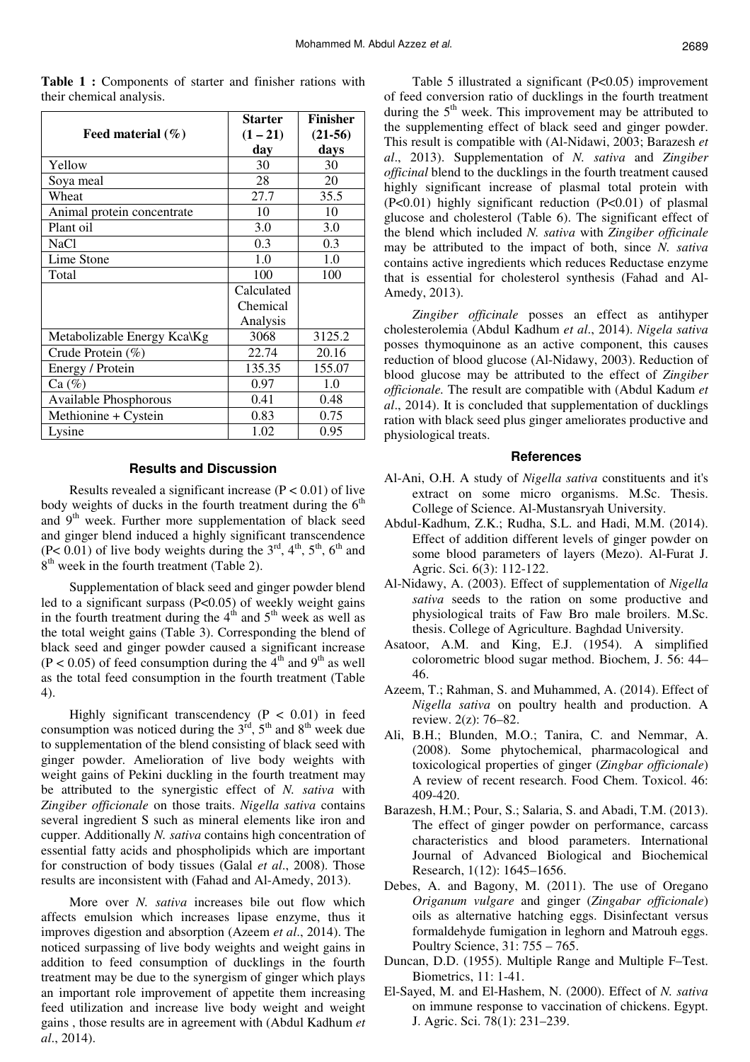|                             | <b>Starter</b> | <b>Finisher</b> |
|-----------------------------|----------------|-----------------|
| Feed material $(\% )$       | $(1 - 21)$     | $(21-56)$       |
|                             | day            | days            |
| Yellow                      | 30             | 30              |
| Soya meal                   | 28             | 20              |
| Wheat                       | 27.7           | 35.5            |
| Animal protein concentrate  | 10             | 10              |
| Plant oil                   | 3.0            | 3.0             |
| <b>NaCl</b>                 | 0.3            | 0.3             |
| Lime Stone                  | 1.0            | 1.0             |
| Total                       | 100            | 100             |
|                             | Calculated     |                 |
|                             | Chemical       |                 |
|                             | Analysis       |                 |
| Metabolizable Energy Kca\Kg | 3068           | 3125.2          |
| Crude Protein (%)           | 22.74          | 20.16           |
| Energy / Protein            | 135.35         | 155.07          |
| Ca (%)                      | 0.97           | 1.0             |
| Available Phosphorous       | 0.41           | 0.48            |
| Methionine + Cystein        | 0.83           | 0.75            |
| Lysine                      | 1.02           | 0.95            |

**Table 1 :** Components of starter and finisher rations with their chemical analysis.

## **Results and Discussion**

Results revealed a significant increase ( $P < 0.01$ ) of live body weights of ducks in the fourth treatment during the  $6<sup>th</sup>$ and  $9<sup>th</sup>$  week. Further more supplementation of black seed and ginger blend induced a highly significant transcendence (P< 0.01) of live body weights during the  $3<sup>rd</sup>$ ,  $4<sup>th</sup>$ ,  $5<sup>th</sup>$ ,  $6<sup>th</sup>$  and 8<sup>th</sup> week in the fourth treatment (Table 2).

Supplementation of black seed and ginger powder blend led to a significant surpass (P<0.05) of weekly weight gains in the fourth treatment during the  $4<sup>th</sup>$  and  $5<sup>th</sup>$  week as well as the total weight gains (Table 3). Corresponding the blend of black seed and ginger powder caused a significant increase  $(P < 0.05)$  of feed consumption during the 4<sup>th</sup> and 9<sup>th</sup> as well as the total feed consumption in the fourth treatment (Table 4).

Highly significant transcendency  $(P < 0.01)$  in feed consumption was noticed during the  $3<sup>rd</sup>$ ,  $5<sup>th</sup>$  and  $8<sup>th</sup>$  week due to supplementation of the blend consisting of black seed with ginger powder. Amelioration of live body weights with weight gains of Pekini duckling in the fourth treatment may be attributed to the synergistic effect of *N. sativa* with *Zingiber officionale* on those traits. *Nigella sativa* contains several ingredient S such as mineral elements like iron and cupper. Additionally *N. sativa* contains high concentration of essential fatty acids and phospholipids which are important for construction of body tissues (Galal *et al*., 2008). Those results are inconsistent with (Fahad and Al-Amedy, 2013).

More over *N. sativa* increases bile out flow which affects emulsion which increases lipase enzyme, thus it improves digestion and absorption (Azeem *et al*., 2014). The noticed surpassing of live body weights and weight gains in addition to feed consumption of ducklings in the fourth treatment may be due to the synergism of ginger which plays an important role improvement of appetite them increasing feed utilization and increase live body weight and weight gains , those results are in agreement with (Abdul Kadhum *et al*., 2014).

Table 5 illustrated a significant (P<0.05) improvement of feed conversion ratio of ducklings in the fourth treatment during the  $5<sup>th</sup>$  week. This improvement may be attributed to the supplementing effect of black seed and ginger powder. This result is compatible with (Al-Nidawi, 2003; Barazesh *et al*., 2013). Supplementation of *N. sativa* and *Zingiber officinal* blend to the ducklings in the fourth treatment caused highly significant increase of plasmal total protein with (P<0.01) highly significant reduction (P<0.01) of plasmal glucose and cholesterol (Table 6). The significant effect of the blend which included *N. sativa* with *Zingiber officinale* may be attributed to the impact of both, since *N. sativa*  contains active ingredients which reduces Reductase enzyme that is essential for cholesterol synthesis (Fahad and Al-Amedy, 2013).

*Zingiber officinale* posses an effect as antihyper cholesterolemia (Abdul Kadhum *et al*., 2014). *Nigela sativa*  posses thymoquinone as an active component, this causes reduction of blood glucose (Al-Nidawy, 2003). Reduction of blood glucose may be attributed to the effect of *Zingiber officionale.* The result are compatible with (Abdul Kadum *et al*., 2014). It is concluded that supplementation of ducklings ration with black seed plus ginger ameliorates productive and physiological treats.

#### **References**

- Al-Ani, O.H. A study of *Nigella sativa* constituents and it's extract on some micro organisms. M.Sc. Thesis. College of Science. Al-Mustansryah University.
- Abdul-Kadhum, Z.K.; Rudha, S.L. and Hadi, M.M. (2014). Effect of addition different levels of ginger powder on some blood parameters of layers (Mezo). Al-Furat J. Agric. Sci. 6(3): 112-122.
- Al-Nidawy, A. (2003). Effect of supplementation of *Nigella sativa* seeds to the ration on some productive and physiological traits of Faw Bro male broilers. M.Sc. thesis. College of Agriculture. Baghdad University.
- Asatoor, A.M. and King, E.J. (1954). A simplified colorometric blood sugar method. Biochem, J. 56: 44– 46.
- Azeem, T.; Rahman, S. and Muhammed, A. (2014). Effect of *Nigella sativa* on poultry health and production. A review. 2(z): 76–82.
- Ali, B.H.; Blunden, M.O.; Tanira, C. and Nemmar, A. (2008). Some phytochemical, pharmacological and toxicological properties of ginger (*Zingbar officionale*) A review of recent research. Food Chem. Toxicol. 46: 409-420.
- Barazesh, H.M.; Pour, S.; Salaria, S. and Abadi, T.M. (2013). The effect of ginger powder on performance, carcass characteristics and blood parameters. International Journal of Advanced Biological and Biochemical Research, 1(12): 1645–1656.
- Debes, A. and Bagony, M. (2011). The use of Oregano *Origanum vulgare* and ginger (*Zingabar officionale*) oils as alternative hatching eggs. Disinfectant versus formaldehyde fumigation in leghorn and Matrouh eggs. Poultry Science, 31: 755 – 765.
- Duncan, D.D. (1955). Multiple Range and Multiple F–Test. Biometrics, 11: 1-41.
- El-Sayed, M. and El-Hashem, N. (2000). Effect of *N. sativa* on immune response to vaccination of chickens. Egypt. J. Agric. Sci. 78(1): 231–239.